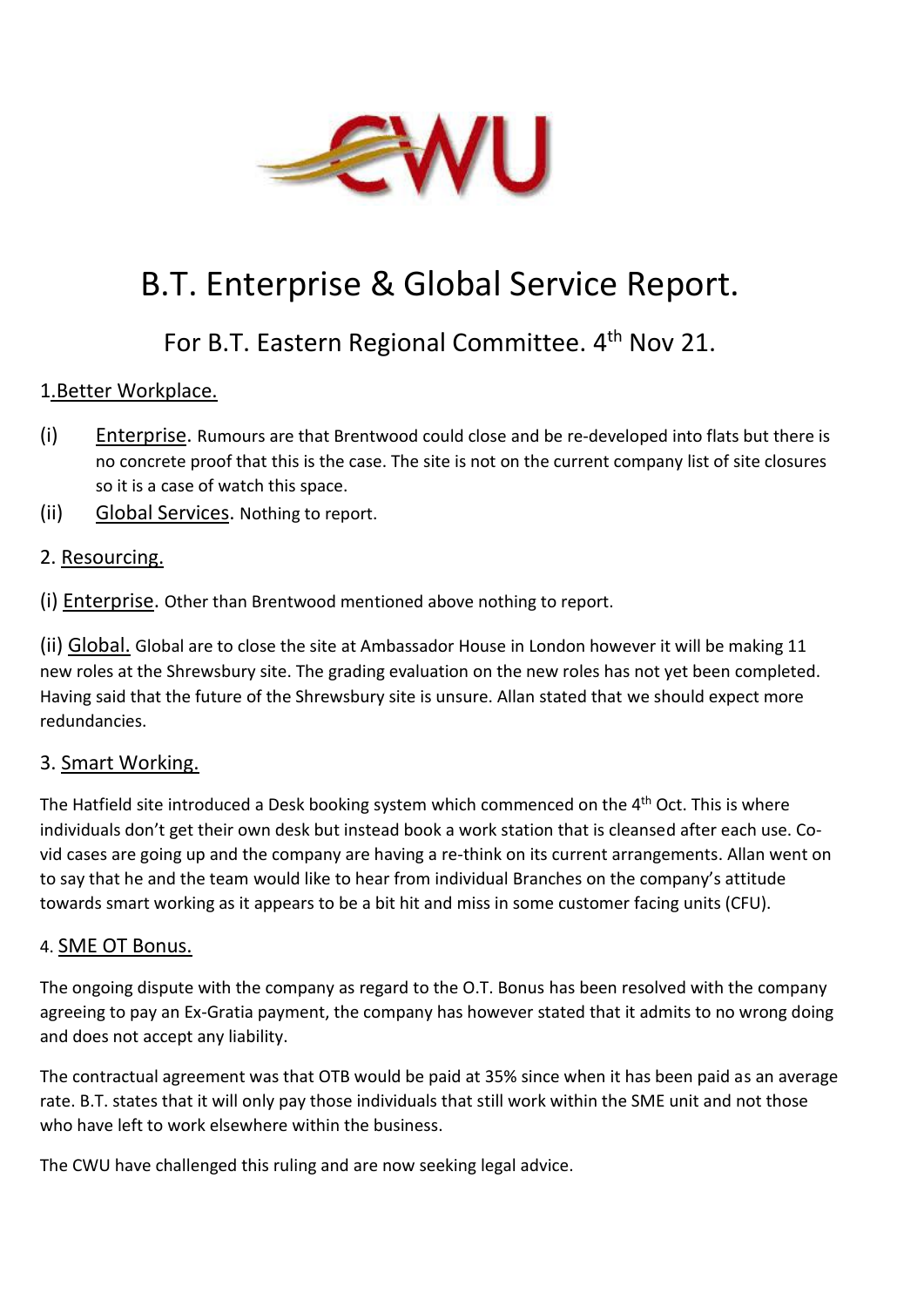

# B.T. Enterprise & Global Service Report.

# For B.T. Eastern Regional Committee. 4<sup>th</sup> Nov 21.

# 1.Better Workplace.

- (i) Enterprise. Rumours are that Brentwood could close and be re-developed into flats but there is no concrete proof that this is the case. The site is not on the current company list of site closures so it is a case of watch this space.
- (ii) Global Services. Nothing to report.

#### 2. Resourcing.

(i) Enterprise. Other than Brentwood mentioned above nothing to report.

(ii) Global. Global are to close the site at Ambassador House in London however it will be making 11 new roles at the Shrewsbury site. The grading evaluation on the new roles has not yet been completed. Having said that the future of the Shrewsbury site is unsure. Allan stated that we should expect more redundancies.

#### 3. Smart Working.

The Hatfield site introduced a Desk booking system which commenced on the 4<sup>th</sup> Oct. This is where individuals don't get their own desk but instead book a work station that is cleansed after each use. Covid cases are going up and the company are having a re-think on its current arrangements. Allan went on to say that he and the team would like to hear from individual Branches on the company's attitude towards smart working as it appears to be a bit hit and miss in some customer facing units (CFU).

#### 4. SME OT Bonus.

The ongoing dispute with the company as regard to the O.T. Bonus has been resolved with the company agreeing to pay an Ex-Gratia payment, the company has however stated that it admits to no wrong doing and does not accept any liability.

The contractual agreement was that OTB would be paid at 35% since when it has been paid as an average rate. B.T. states that it will only pay those individuals that still work within the SME unit and not those who have left to work elsewhere within the business.

The CWU have challenged this ruling and are now seeking legal advice.